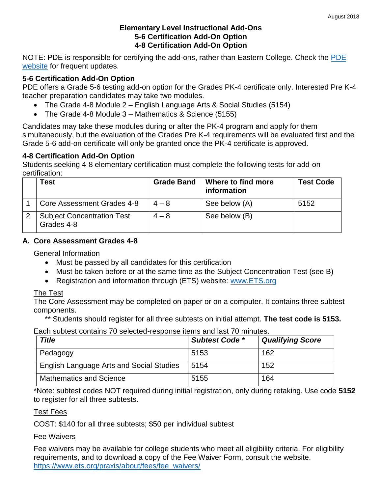#### **Elementary Level Instructional Add-Ons 5-6 Certification Add-On Option 4-8 Certification Add-On Option**

NOTE: [PDE](http://www.pde.state.pa.us/) is responsible for certifying the add-ons, rather than Eastern College. Check the PDE [website](http://www.pde.state.pa.us/) for frequent updates.

### **5-6 Certification Add-On Option**

PDE offers a Grade 5-6 testing add-on option for the Grades PK-4 certificate only. Interested Pre K-4 teacher preparation candidates may take two modules.

- The Grade 4-8 Module 2 English Language Arts & Social Studies (5154)
- The Grade 4-8 Module 3 Mathematics & Science (5155)

Candidates may take these modules during or after the PK-4 program and apply for them simultaneously, but the evaluation of the Grades Pre K-4 requirements will be evaluated first and the Grade 5-6 add-on certificate will only be granted once the PK-4 certificate is approved.

### **4-8 Certification Add-On Option**

Students seeking 4-8 elementary certification must complete the following tests for add-on certification:

| Test                                            | <b>Grade Band</b> | Where to find more<br>information | <b>Test Code</b> |
|-------------------------------------------------|-------------------|-----------------------------------|------------------|
| Core Assessment Grades 4-8                      | $4 - 8$           | See below (A)                     | 5152             |
| <b>Subject Concentration Test</b><br>Grades 4-8 | $4 - 8$           | See below (B)                     |                  |

### **A. Core Assessment Grades 4-8**

### General Information

- Must be passed by all candidates for this certification
- Must be taken before or at the same time as the Subject Concentration Test (see B)
- Registration and information through (ETS) website: [www.ETS.org](http://www.ets.org/)

### The Test

The Core Assessment may be completed on paper or on a computer. It contains three subtest components.

\*\* Students should register for all three subtests on initial attempt. **The test code is 5153.**

Each subtest contains 70 selected-response items and last 70 minutes.

| <b>Title</b>                                    | <b>Subtest Code *</b> | <b>Qualifying Score</b> |
|-------------------------------------------------|-----------------------|-------------------------|
| Pedagogy                                        | 5153                  | 162                     |
| <b>English Language Arts and Social Studies</b> | 5154                  | 152                     |
| <b>Mathematics and Science</b>                  | 5155                  | 164                     |

\*Note: subtest codes NOT required during initial registration, only during retaking. Use code **5152** to register for all three subtests.

### Test Fees

COST: \$140 for all three subtests; \$50 per individual subtest

### Fee Waivers

Fee waivers may be available for college students who meet all eligibility criteria. For eligibility requirements, and to download a copy of the Fee Waiver Form, consult the website. [https://www.ets.org/praxis/about/fees/fee\\_waivers/](https://www.ets.org/praxis/about/fees/fee_waivers/)